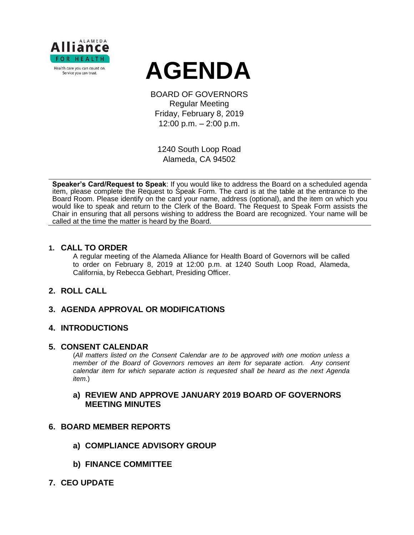



BOARD OF GOVERNORS Regular Meeting Friday, February 8, 2019 12:00 p.m. – 2:00 p.m.

1240 South Loop Road Alameda, CA 94502

**Speaker's Card/Request to Speak**: If you would like to address the Board on a scheduled agenda item, please complete the Request to Speak Form. The card is at the table at the entrance to the Board Room. Please identify on the card your name, address (optional), and the item on which you would like to speak and return to the Clerk of the Board. The Request to Speak Form assists the Chair in ensuring that all persons wishing to address the Board are recognized. Your name will be called at the time the matter is heard by the Board.

### **1. CALL TO ORDER**

A regular meeting of the Alameda Alliance for Health Board of Governors will be called to order on February 8, 2019 at 12:00 p.m. at 1240 South Loop Road, Alameda, California, by Rebecca Gebhart, Presiding Officer.

## **2. ROLL CALL**

## **3. AGENDA APPROVAL OR MODIFICATIONS**

### **4. INTRODUCTIONS**

#### **5. CONSENT CALENDAR**

(*All matters listed on the Consent Calendar are to be approved with one motion unless a member of the Board of Governors removes an item for separate action. Any consent calendar item for which separate action is requested shall be heard as the next Agenda item.*)

### **a) REVIEW AND APPROVE JANUARY 2019 BOARD OF GOVERNORS MEETING MINUTES**

### **6. BOARD MEMBER REPORTS**

- **a) COMPLIANCE ADVISORY GROUP**
- **b) FINANCE COMMITTEE**
- **7. CEO UPDATE**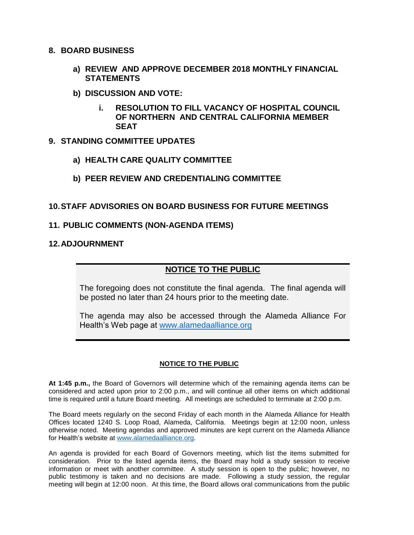### **8. BOARD BUSINESS**

- **a) REVIEW AND APPROVE DECEMBER 2018 MONTHLY FINANCIAL STATEMENTS**
- **b) DISCUSSION AND VOTE:**
	- **i. RESOLUTION TO FILL VACANCY OF HOSPITAL COUNCIL OF NORTHERN AND CENTRAL CALIFORNIA MEMBER SEAT**

## **9. STANDING COMMITTEE UPDATES**

**a) HEALTH CARE QUALITY COMMITTEE**

# **b) PEER REVIEW AND CREDENTIALING COMMITTEE**

## **10.STAFF ADVISORIES ON BOARD BUSINESS FOR FUTURE MEETINGS**

### **11. PUBLIC COMMENTS (NON-AGENDA ITEMS)**

### **12.ADJOURNMENT**

# **NOTICE TO THE PUBLIC**

The foregoing does not constitute the final agenda. The final agenda will be posted no later than 24 hours prior to the meeting date.

The agenda may also be accessed through the Alameda Alliance For Health's Web page at [www.alamedaalliance.org](http://www.alamedaalliance.org/)

### **NOTICE TO THE PUBLIC**

**At 1:45 p.m.,** the Board of Governors will determine which of the remaining agenda items can be considered and acted upon prior to 2:00 p.m., and will continue all other items on which additional time is required until a future Board meeting. All meetings are scheduled to terminate at 2:00 p.m.

The Board meets regularly on the second Friday of each month in the Alameda Alliance for Health Offices located 1240 S. Loop Road, Alameda, California. Meetings begin at 12:00 noon, unless otherwise noted. Meeting agendas and approved minutes are kept current on the Alameda Alliance for Health's website at [www.alamedaalliance.org.](http://www.alamedaalliance.org/)

An agenda is provided for each Board of Governors meeting, which list the items submitted for consideration. Prior to the listed agenda items, the Board may hold a study session to receive information or meet with another committee. A study session is open to the public; however, no public testimony is taken and no decisions are made. Following a study session, the regular meeting will begin at 12:00 noon. At this time, the Board allows oral communications from the public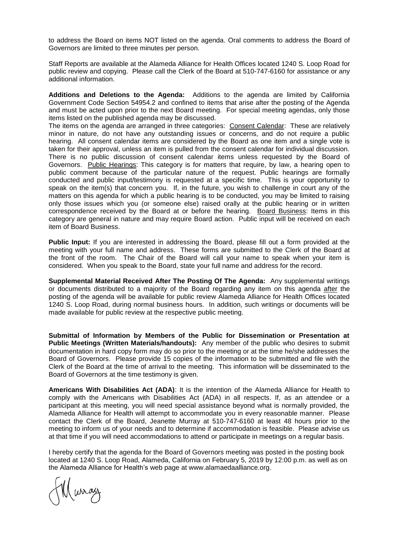to address the Board on items NOT listed on the agenda. Oral comments to address the Board of Governors are limited to three minutes per person.

Staff Reports are available at the Alameda Alliance for Health Offices located 1240 S. Loop Road for public review and copying. Please call the Clerk of the Board at 510-747-6160 for assistance or any additional information.

**Additions and Deletions to the Agenda:** Additions to the agenda are limited by California Government Code Section 54954.2 and confined to items that arise after the posting of the Agenda and must be acted upon prior to the next Board meeting. For special meeting agendas, only those items listed on the published agenda may be discussed.

The items on the agenda are arranged in three categories: Consent Calendar: These are relatively minor in nature, do not have any outstanding issues or concerns, and do not require a public hearing. All consent calendar items are considered by the Board as one item and a single vote is taken for their approval, unless an item is pulled from the consent calendar for individual discussion. There is no public discussion of consent calendar items unless requested by the Board of Governors. Public Hearings: This category is for matters that require, by law, a hearing open to public comment because of the particular nature of the request. Public hearings are formally conducted and public input/testimony is requested at a specific time. This is your opportunity to speak on the item(s) that concern you. If, in the future, you wish to challenge in court any of the matters on this agenda for which a public hearing is to be conducted, you may be limited to raising only those issues which you (or someone else) raised orally at the public hearing or in written correspondence received by the Board at or before the hearing. Board Business: Items in this category are general in nature and may require Board action. Public input will be received on each item of Board Business.

**Public Input:** If you are interested in addressing the Board, please fill out a form provided at the meeting with your full name and address. These forms are submitted to the Clerk of the Board at the front of the room. The Chair of the Board will call your name to speak when your item is considered. When you speak to the Board, state your full name and address for the record.

**Supplemental Material Received After The Posting Of The Agenda:** Any supplemental writings or documents distributed to a majority of the Board regarding any item on this agenda after the posting of the agenda will be available for public review Alameda Alliance for Health Offices located 1240 S. Loop Road, during normal business hours. In addition, such writings or documents will be made available for public review at the respective public meeting.

**Submittal of Information by Members of the Public for Dissemination or Presentation at Public Meetings (Written Materials/handouts):** Any member of the public who desires to submit documentation in hard copy form may do so prior to the meeting or at the time he/she addresses the Board of Governors. Please provide 15 copies of the information to be submitted and file with the Clerk of the Board at the time of arrival to the meeting. This information will be disseminated to the Board of Governors at the time testimony is given.

**Americans With Disabilities Act (ADA)**: It is the intention of the Alameda Alliance for Health to comply with the Americans with Disabilities Act (ADA) in all respects. If, as an attendee or a participant at this meeting, you will need special assistance beyond what is normally provided, the Alameda Alliance for Health will attempt to accommodate you in every reasonable manner. Please contact the Clerk of the Board, Jeanette Murray at 510-747-6160 at least 48 hours prior to the meeting to inform us of your needs and to determine if accommodation is feasible. Please advise us at that time if you will need accommodations to attend or participate in meetings on a regular basis.

I hereby certify that the agenda for the Board of Governors meeting was posted in the posting book located at 1240 S. Loop Road, Alameda, California on February 5, 2019 by 12:00 p.m. as well as on the Alameda Alliance for Health's web page at www.alamaedaalliance.org.

Muray